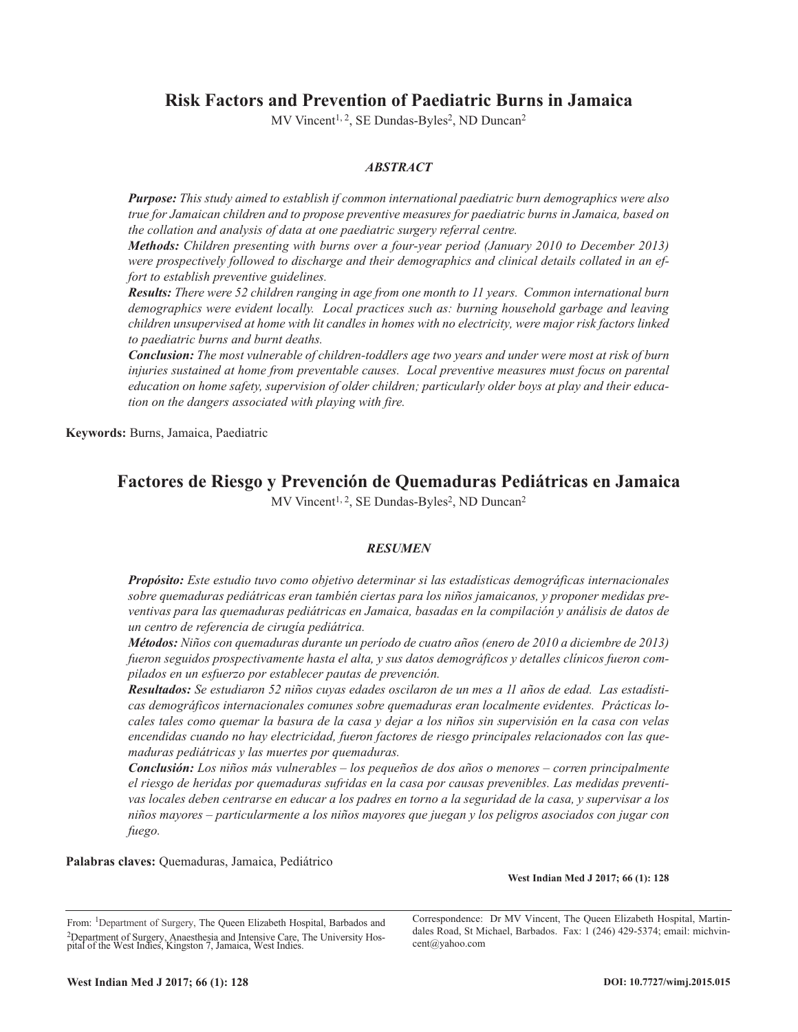# **Risk Factors and Prevention of Paediatric Burns in Jamaica**

MV Vincent<sup>1, 2</sup>, SE Dundas-Byles<sup>2</sup>, ND Duncan<sup>2</sup>

# *ABSTRACT*

*Purpose: This study aimed to establish if common international paediatric burn demographics were also true for Jamaican children and to propose preventive measures for paediatric burns in Jamaica, based on the collation and analysis of data at one paediatric surgery referral centre.*

*Methods: Children presenting with burns over a four-year period (January 2010 to December 2013) were prospectively followed to discharge and their demographics and clinical details collated in an effort to establish preventive guidelines.* 

*Results: There were 52 children ranging in age from one month to 11 years. Common international burn demographics were evident locally. Local practices such as: burning household garbage and leaving children unsupervised at home with lit candles in homes with no electricity, were major risk factors linked to paediatric burns and burnt deaths.*

*Conclusion: The most vulnerable of children-toddlers age two years and under were most at risk of burn injuries sustained at home from preventable causes. Local preventive measures must focus on parental education on home safety, supervision of older children; particularly older boys at play and their education on the dangers associated with playing with fire.*

**Keywords:** Burns, Jamaica, Paediatric

# **Factores de Riesgo y Prevención de Quemaduras Pediátricas en Jamaica**

MV Vincent<sup>1, 2</sup>, SE Dundas-Byles<sup>2</sup>, ND Duncan<sup>2</sup>

## *RESUMEN*

*Propósito: Este estudio tuvo como objetivo determinar si las estadísticas demográficas internacionales sobre quemaduras pediátricas eran también ciertas para los niños jamaicanos, y proponer medidas preventivas para las quemaduras pediátricas en Jamaica, basadas en la compilación y análisis de datos de un centro de referencia de cirugía pediátrica.*

*Métodos: Niños con quemaduras durante un período de cuatro años (enero de 2010 a diciembre de 2013) fueron seguidos prospectivamente hasta el alta, y sus datos demográficos y detalles clínicos fueron compilados en un esfuerzo por establecer pautas de prevención.* 

*Resultados: Se estudiaron 52 niños cuyas edades oscilaron de un mes a 11 años de edad. Las estadísticas demográficos internacionales comunes sobre quemaduras eran localmente evidentes. Prácticas locales tales como quemar la basura de la casa y dejar a los niños sin supervisión en la casa con velas encendidas cuando no hay electricidad, fueron factores de riesgo principales relacionados con las quemaduras pediátricas y las muertes por quemaduras.*

*Conclusión: Los niños más vulnerables – los pequeños de dos años o menores – corren principalmente el riesgo de heridas por quemaduras sufridas en la casa por causas prevenibles. Las medidas preventivas locales deben centrarse en educar a los padres en torno a la seguridad de la casa, y supervisar a los niños mayores – particularmente a los niños mayores que juegan y los peligros asociados con jugar con fuego.*

**Palabras claves:** Quemaduras, Jamaica, Pediátrico

**West Indian Med J 2017; 66 (1): 128**

From: <sup>1</sup>Department of Surgery, The Queen Elizabeth Hospital, Barbados and <sup>2</sup>Department of Surgery, Anaesthesia and Intensive Care, The University Hos-pital of the West Indies, Kingston 7, Jamaica, West Indies.

Correspondence: Dr MV Vincent, The Queen Elizabeth Hospital, Martindales Road, St Michael, Barbados. Fax: 1 (246) 429-5374; email: michvincent@yahoo.com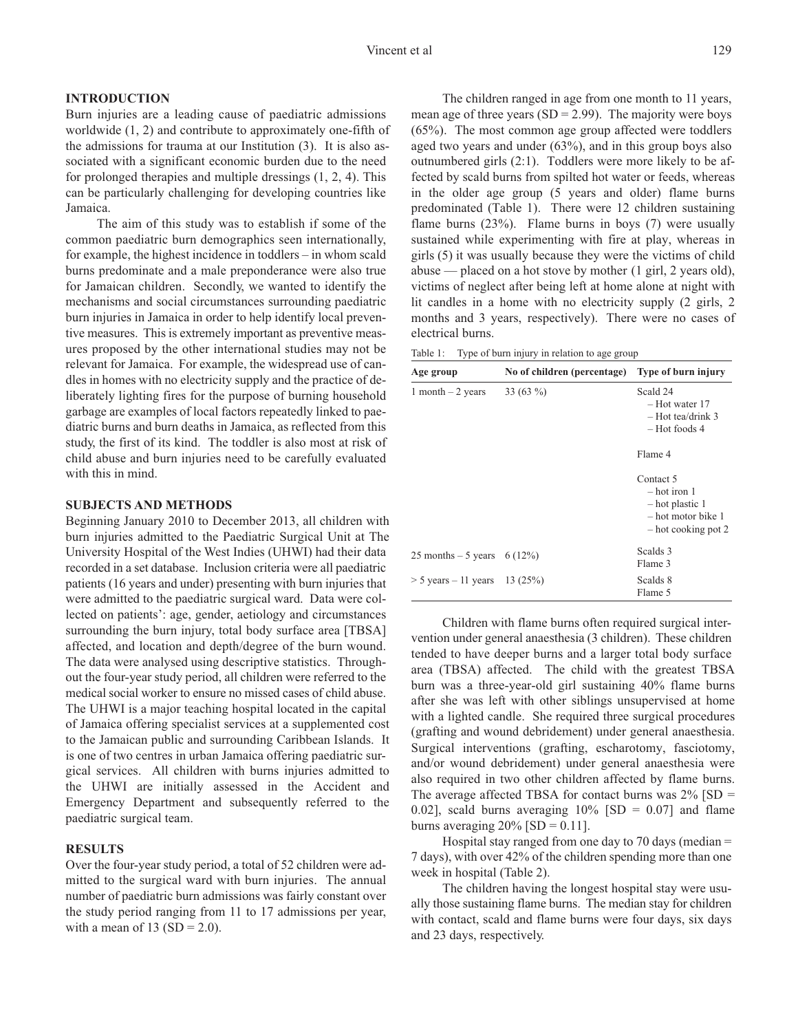## **INTRODUCTION**

Burn injuries are a leading cause of paediatric admissions worldwide (1, 2) and contribute to approximately one-fifth of the admissions for trauma at our Institution (3). It is also associated with a significant economic burden due to the need for prolonged therapies and multiple dressings (1, 2, 4). This can be particularly challenging for developing countries like Jamaica.

The aim of this study was to establish if some of the common paediatric burn demographics seen internationally, for example, the highest incidence in toddlers – in whom scald burns predominate and a male preponderance were also true for Jamaican children. Secondly, we wanted to identify the mechanisms and social circumstances surrounding paediatric burn injuries in Jamaica in order to help identify local preventive measures. This is extremely important as preventive measures proposed by the other international studies may not be relevant for Jamaica. For example, the widespread use of candles in homes with no electricity supply and the practice of deliberately lighting fires for the purpose of burning household garbage are examples of local factors repeatedly linked to paediatric burns and burn deaths in Jamaica, as reflected from this study, the first of its kind. The toddler is also most at risk of child abuse and burn injuries need to be carefully evaluated with this in mind.

### **SUBJECTS AND METHODS**

Beginning January 2010 to December 2013, all children with burn injuries admitted to the Paediatric Surgical Unit at The University Hospital of the West Indies (UHWI) had their data recorded in a set database. Inclusion criteria were all paediatric patients (16 years and under) presenting with burn injuries that were admitted to the paediatric surgical ward. Data were collected on patients': age, gender, aetiology and circumstances surrounding the burn injury, total body surface area [TBSA] affected, and location and depth/degree of the burn wound. The data were analysed using descriptive statistics. Throughout the four-year study period, all children were referred to the medical social worker to ensure no missed cases of child abuse. The UHWI is a major teaching hospital located in the capital of Jamaica offering specialist services at a supplemented cost to the Jamaican public and surrounding Caribbean Islands. It is one of two centres in urban Jamaica offering paediatric surgical services. All children with burns injuries admitted to the UHWI are initially assessed in the Accident and Emergency Department and subsequently referred to the paediatric surgical team.

#### **RESULTS**

Over the four-year study period, a total of 52 children were admitted to the surgical ward with burn injuries. The annual number of paediatric burn admissions was fairly constant over the study period ranging from 11 to 17 admissions per year, with a mean of 13 (SD = 2.0).

The children ranged in age from one month to 11 years, mean age of three years  $(SD = 2.99)$ . The majority were boys (65%). The most common age group affected were toddlers aged two years and under (63%), and in this group boys also outnumbered girls (2:1). Toddlers were more likely to be affected by scald burns from spilted hot water or feeds, whereas in the older age group (5 years and older) flame burns predominated (Table 1). There were 12 children sustaining flame burns (23%). Flame burns in boys (7) were usually sustained while experimenting with fire at play, whereas in girls (5) it was usually because they were the victims of child abuse — placed on a hot stove by mother (1 girl, 2 years old), victims of neglect after being left at home alone at night with lit candles in a home with no electricity supply (2 girls, 2 months and 3 years, respectively). There were no cases of electrical burns.

Table 1: Type of burn injury in relation to age group

| Age group                         | No of children (percentage) | Type of burn injury                                                                             |
|-----------------------------------|-----------------------------|-------------------------------------------------------------------------------------------------|
| 1 month $-2$ years                | 33 $(63\%)$                 | Scald 24<br>– Hot water 17<br>$-$ Hot tea/drink 3<br>$-$ Hot foods 4                            |
|                                   |                             | Flame 4                                                                                         |
|                                   |                             | Contact 5<br>$-$ hot iron 1<br>$-$ hot plastic 1<br>$-$ hot motor bike 1<br>- hot cooking pot 2 |
| 25 months – 5 years 6 (12%)       |                             | Scalds 3<br>Flame 3                                                                             |
| $> 5$ years $- 11$ years 13 (25%) |                             | Scalds 8<br>Flame 5                                                                             |

Children with flame burns often required surgical intervention under general anaesthesia (3 children). These children tended to have deeper burns and a larger total body surface area (TBSA) affected. The child with the greatest TBSA burn was a three-year-old girl sustaining 40% flame burns after she was left with other siblings unsupervised at home with a lighted candle. She required three surgical procedures (grafting and wound debridement) under general anaesthesia. Surgical interventions (grafting, escharotomy, fasciotomy, and/or wound debridement) under general anaesthesia were also required in two other children affected by flame burns. The average affected TBSA for contact burns was  $2\%$  [SD = 0.02], scald burns averaging  $10\%$  [SD = 0.07] and flame burns averaging  $20\%$  [SD = 0.11].

Hospital stay ranged from one day to 70 days (median  $=$ 7 days), with over 42% of the children spending more than one week in hospital (Table 2).

The children having the longest hospital stay were usually those sustaining flame burns. The median stay for children with contact, scald and flame burns were four days, six days and 23 days, respectively.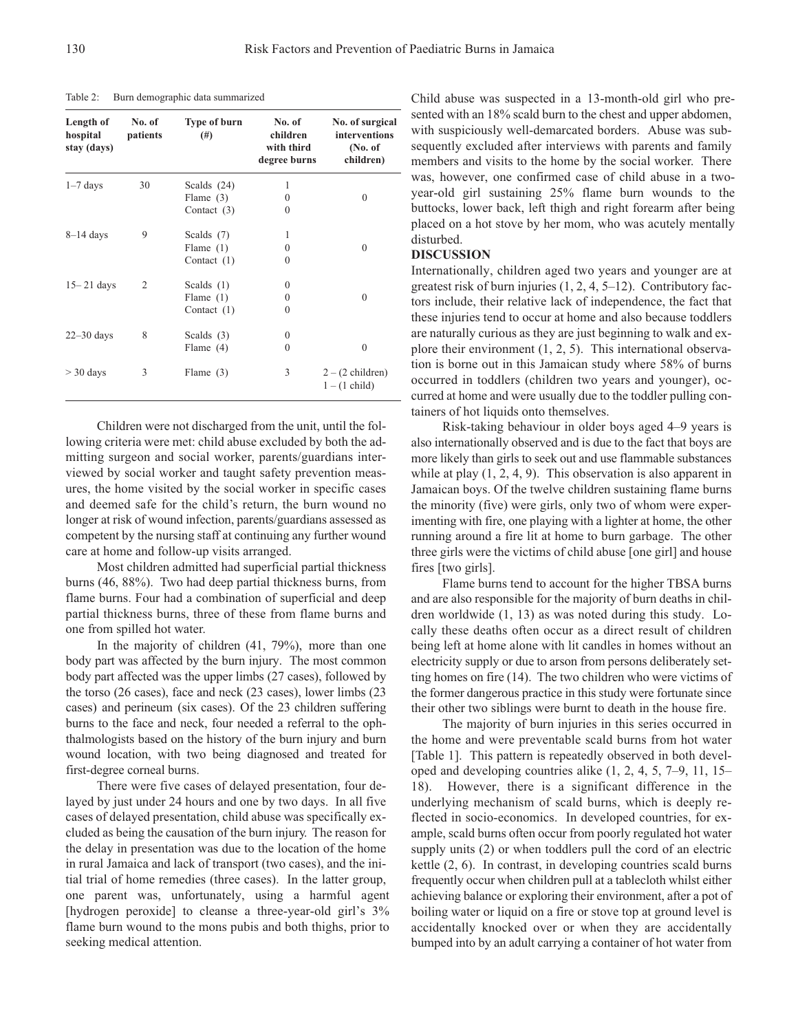| Length of<br>hospital<br>stay (days) | No. of<br>patients | <b>Type of burn</b><br>$^{(#)}$ | No. of<br>children<br>with third<br>degree burns | No. of surgical<br>interventions<br>(No. of)<br>children) |
|--------------------------------------|--------------------|---------------------------------|--------------------------------------------------|-----------------------------------------------------------|
| $1-7$ days                           | 30                 | Scalds $(24)$                   | 1                                                |                                                           |
|                                      |                    | Flame $(3)$                     | $\Omega$                                         | $\Omega$                                                  |
|                                      |                    | Contact $(3)$                   | $\Omega$                                         |                                                           |
| $8-14$ days                          | 9                  | Scalds $(7)$                    | 1                                                |                                                           |
|                                      |                    | Flame $(1)$                     | $\Omega$                                         | $\Omega$                                                  |
|                                      |                    | Contact $(1)$                   | $\Omega$                                         |                                                           |
| $15 - 21$ days                       | 2                  | Scalds $(1)$                    | $\Omega$                                         |                                                           |
|                                      |                    | Flame $(1)$                     | 0                                                | $\Omega$                                                  |
|                                      |                    | Contact $(1)$                   | 0                                                |                                                           |
| $22 - 30$ days                       | 8                  | Scalds $(3)$                    | $\Omega$                                         |                                                           |
|                                      |                    | Flame $(4)$                     | $\Omega$                                         | $\theta$                                                  |
| $>$ 30 days                          | 3                  | Flame $(3)$                     | 3                                                | $2 - (2 \text{ children})$<br>$1 - (1 \text{ child})$     |

Table 2: Burn demographic data summarized

Children were not discharged from the unit, until the following criteria were met: child abuse excluded by both the admitting surgeon and social worker, parents/guardians interviewed by social worker and taught safety prevention measures, the home visited by the social worker in specific cases and deemed safe for the child's return, the burn wound no longer at risk of wound infection, parents/guardians assessed as competent by the nursing staff at continuing any further wound care at home and follow-up visits arranged.

Most children admitted had superficial partial thickness burns (46, 88%). Two had deep partial thickness burns, from flame burns. Four had a combination of superficial and deep partial thickness burns, three of these from flame burns and one from spilled hot water.

In the majority of children (41, 79%), more than one body part was affected by the burn injury. The most common body part affected was the upper limbs (27 cases), followed by the torso (26 cases), face and neck (23 cases), lower limbs (23 cases) and perineum (six cases). Of the 23 children suffering burns to the face and neck, four needed a referral to the ophthalmologists based on the history of the burn injury and burn wound location, with two being diagnosed and treated for first-degree corneal burns.

There were five cases of delayed presentation, four delayed by just under 24 hours and one by two days. In all five cases of delayed presentation, child abuse was specifically excluded as being the causation of the burn injury. The reason for the delay in presentation was due to the location of the home in rural Jamaica and lack of transport (two cases), and the initial trial of home remedies (three cases). In the latter group, one parent was, unfortunately, using a harmful agent [hydrogen peroxide] to cleanse a three-year-old girl's  $3\%$ flame burn wound to the mons pubis and both thighs, prior to seeking medical attention.

Child abuse was suspected in a 13-month-old girl who presented with an 18% scald burn to the chest and upper abdomen, with suspiciously well-demarcated borders. Abuse was subsequently excluded after interviews with parents and family members and visits to the home by the social worker. There was, however, one confirmed case of child abuse in a twoyear-old girl sustaining 25% flame burn wounds to the buttocks, lower back, left thigh and right forearm after being placed on a hot stove by her mom, who was acutely mentally disturbed.

#### **DISCUSSION**

Internationally, children aged two years and younger are at greatest risk of burn injuries (1, 2, 4, 5–12). Contributory factors include, their relative lack of independence, the fact that these injuries tend to occur at home and also because toddlers are naturally curious as they are just beginning to walk and explore their environment (1, 2, 5). This international observation is borne out in this Jamaican study where 58% of burns occurred in toddlers (children two years and younger), occurred at home and were usually due to the toddler pulling containers of hot liquids onto themselves.

Risk-taking behaviour in older boys aged 4–9 years is also internationally observed and is due to the fact that boys are more likely than girls to seek out and use flammable substances while at play  $(1, 2, 4, 9)$ . This observation is also apparent in Jamaican boys. Of the twelve children sustaining flame burns the minority (five) were girls, only two of whom were experimenting with fire, one playing with a lighter at home, the other running around a fire lit at home to burn garbage. The other three girls were the victims of child abuse [one girl] and house fires [two girls].

Flame burns tend to account for the higher TBSA burns and are also responsible for the majority of burn deaths in children worldwide (1, 13) as was noted during this study. Locally these deaths often occur as a direct result of children being left at home alone with lit candles in homes without an electricity supply or due to arson from persons deliberately setting homes on fire (14). The two children who were victims of the former dangerous practice in this study were fortunate since their other two siblings were burnt to death in the house fire.

The majority of burn injuries in this series occurred in the home and were preventable scald burns from hot water [Table 1]. This pattern is repeatedly observed in both developed and developing countries alike (1, 2, 4, 5, 7–9, 11, 15– 18). However, there is a significant difference in the underlying mechanism of scald burns, which is deeply reflected in socio-economics. In developed countries, for example, scald burns often occur from poorly regulated hot water supply units (2) or when toddlers pull the cord of an electric kettle (2, 6). In contrast, in developing countries scald burns frequently occur when children pull at a tablecloth whilst either achieving balance or exploring their environment, after a pot of boiling water or liquid on a fire or stove top at ground level is accidentally knocked over or when they are accidentally bumped into by an adult carrying a container of hot water from